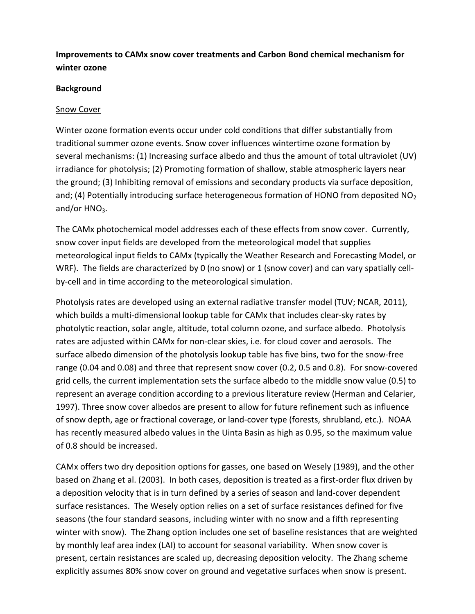# Improvements to CAMx snow cover treatments and Carbon Bond chemical mechanism for winter ozone

#### Background

#### Snow Cover

Winter ozone formation events occur under cold conditions that differ substantially from traditional summer ozone events. Snow cover influences wintertime ozone formation by several mechanisms: (1) Increasing surface albedo and thus the amount of total ultraviolet (UV) irradiance for photolysis; (2) Promoting formation of shallow, stable atmospheric layers near the ground; (3) Inhibiting removal of emissions and secondary products via surface deposition, and; (4) Potentially introducing surface heterogeneous formation of HONO from deposited  $NO<sub>2</sub>$ and/or  $HNO<sub>3</sub>$ .

The CAMx photochemical model addresses each of these effects from snow cover. Currently, snow cover input fields are developed from the meteorological model that supplies meteorological input fields to CAMx (typically the Weather Research and Forecasting Model, or WRF). The fields are characterized by 0 (no snow) or 1 (snow cover) and can vary spatially cellby-cell and in time according to the meteorological simulation.

Photolysis rates are developed using an external radiative transfer model (TUV; NCAR, 2011), which builds a multi-dimensional lookup table for CAMx that includes clear-sky rates by photolytic reaction, solar angle, altitude, total column ozone, and surface albedo. Photolysis rates are adjusted within CAMx for non-clear skies, i.e. for cloud cover and aerosols. The surface albedo dimension of the photolysis lookup table has five bins, two for the snow-free range (0.04 and 0.08) and three that represent snow cover (0.2, 0.5 and 0.8). For snow-covered grid cells, the current implementation sets the surface albedo to the middle snow value (0.5) to represent an average condition according to a previous literature review (Herman and Celarier, 1997). Three snow cover albedos are present to allow for future refinement such as influence of snow depth, age or fractional coverage, or land-cover type (forests, shrubland, etc.). NOAA has recently measured albedo values in the Uinta Basin as high as 0.95, so the maximum value of 0.8 should be increased.

CAMx offers two dry deposition options for gasses, one based on Wesely (1989), and the other based on Zhang et al. (2003). In both cases, deposition is treated as a first-order flux driven by a deposition velocity that is in turn defined by a series of season and land-cover dependent surface resistances. The Wesely option relies on a set of surface resistances defined for five seasons (the four standard seasons, including winter with no snow and a fifth representing winter with snow). The Zhang option includes one set of baseline resistances that are weighted by monthly leaf area index (LAI) to account for seasonal variability. When snow cover is present, certain resistances are scaled up, decreasing deposition velocity. The Zhang scheme explicitly assumes 80% snow cover on ground and vegetative surfaces when snow is present.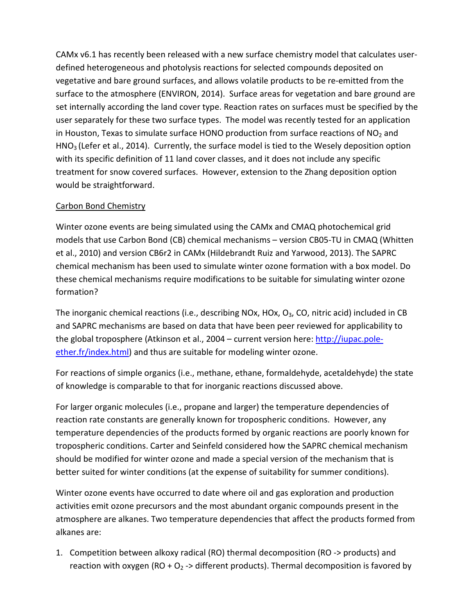CAMx v6.1 has recently been released with a new surface chemistry model that calculates userdefined heterogeneous and photolysis reactions for selected compounds deposited on vegetative and bare ground surfaces, and allows volatile products to be re-emitted from the surface to the atmosphere (ENVIRON, 2014). Surface areas for vegetation and bare ground are set internally according the land cover type. Reaction rates on surfaces must be specified by the user separately for these two surface types. The model was recently tested for an application in Houston, Texas to simulate surface HONO production from surface reactions of  $NO<sub>2</sub>$  and HNO3 (Lefer et al., 2014). Currently, the surface model is tied to the Wesely deposition option with its specific definition of 11 land cover classes, and it does not include any specific treatment for snow covered surfaces. However, extension to the Zhang deposition option would be straightforward.

# Carbon Bond Chemistry

Winter ozone events are being simulated using the CAMx and CMAQ photochemical grid models that use Carbon Bond (CB) chemical mechanisms – version CB05-TU in CMAQ (Whitten et al., 2010) and version CB6r2 in CAMx (Hildebrandt Ruiz and Yarwood, 2013). The SAPRC chemical mechanism has been used to simulate winter ozone formation with a box model. Do these chemical mechanisms require modifications to be suitable for simulating winter ozone formation?

The inorganic chemical reactions (i.e., describing NOx, HOx,  $O_3$ , CO, nitric acid) included in CB and SAPRC mechanisms are based on data that have been peer reviewed for applicability to the global troposphere (Atkinson et al., 2004 – current version here: http://iupac.poleether.fr/index.html) and thus are suitable for modeling winter ozone.

For reactions of simple organics (i.e., methane, ethane, formaldehyde, acetaldehyde) the state of knowledge is comparable to that for inorganic reactions discussed above.

For larger organic molecules (i.e., propane and larger) the temperature dependencies of reaction rate constants are generally known for tropospheric conditions. However, any temperature dependencies of the products formed by organic reactions are poorly known for tropospheric conditions. Carter and Seinfeld considered how the SAPRC chemical mechanism should be modified for winter ozone and made a special version of the mechanism that is better suited for winter conditions (at the expense of suitability for summer conditions).

Winter ozone events have occurred to date where oil and gas exploration and production activities emit ozone precursors and the most abundant organic compounds present in the atmosphere are alkanes. Two temperature dependencies that affect the products formed from alkanes are:

1. Competition between alkoxy radical (RO) thermal decomposition (RO -> products) and reaction with oxygen (RO +  $O_2$  -> different products). Thermal decomposition is favored by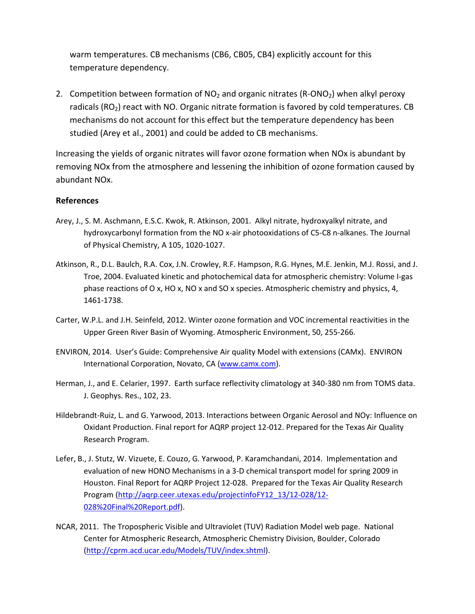warm temperatures. CB mechanisms (CB6, CB05, CB4) explicitly account for this temperature dependency.

2. Competition between formation of  $NO<sub>2</sub>$  and organic nitrates (R-ONO<sub>2</sub>) when alkyl peroxy radicals ( $RO<sub>2</sub>$ ) react with NO. Organic nitrate formation is favored by cold temperatures. CB mechanisms do not account for this effect but the temperature dependency has been studied (Arey et al., 2001) and could be added to CB mechanisms.

Increasing the yields of organic nitrates will favor ozone formation when NOx is abundant by removing NOx from the atmosphere and lessening the inhibition of ozone formation caused by abundant NOx.

#### References

- Arey, J., S. M. Aschmann, E.S.C. Kwok, R. Atkinson, 2001. Alkyl nitrate, hydroxyalkyl nitrate, and hydroxycarbonyl formation from the NO x-air photooxidations of C5-C8 n-alkanes. The Journal of Physical Chemistry, A 105, 1020-1027.
- Atkinson, R., D.L. Baulch, R.A. Cox, J.N. Crowley, R.F. Hampson, R.G. Hynes, M.E. Jenkin, M.J. Rossi, and J. Troe, 2004. Evaluated kinetic and photochemical data for atmospheric chemistry: Volume I-gas phase reactions of O x, HO x, NO x and SO x species. Atmospheric chemistry and physics, 4, 1461-1738.
- Carter, W.P.L. and J.H. Seinfeld, 2012. Winter ozone formation and VOC incremental reactivities in the Upper Green River Basin of Wyoming. Atmospheric Environment, 50, 255-266.
- ENVIRON, 2014. User's Guide: Comprehensive Air quality Model with extensions (CAMx). ENVIRON International Corporation, Novato, CA (www.camx.com).
- Herman, J., and E. Celarier, 1997. Earth surface reflectivity climatology at 340-380 nm from TOMS data. J. Geophys. Res., 102, 23.
- Hildebrandt-Ruiz, L. and G. Yarwood, 2013. Interactions between Organic Aerosol and NOy: Influence on Oxidant Production. Final report for AQRP project 12-012. Prepared for the Texas Air Quality Research Program.
- Lefer, B., J. Stutz, W. Vizuete, E. Couzo, G. Yarwood, P. Karamchandani, 2014. Implementation and evaluation of new HONO Mechanisms in a 3-D chemical transport model for spring 2009 in Houston. Final Report for AQRP Project 12-028. Prepared for the Texas Air Quality Research Program (http://aqrp.ceer.utexas.edu/projectinfoFY12\_13/12-028/12- 028%20Final%20Report.pdf).
- NCAR, 2011. The Tropospheric Visible and Ultraviolet (TUV) Radiation Model web page. National Center for Atmospheric Research, Atmospheric Chemistry Division, Boulder, Colorado (http://cprm.acd.ucar.edu/Models/TUV/index.shtml).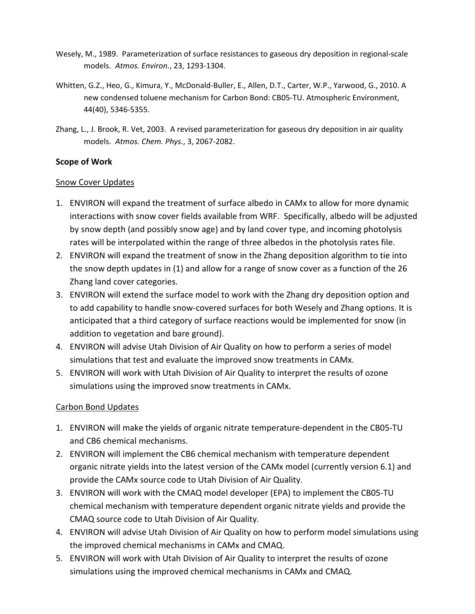- Wesely, M., 1989. Parameterization of surface resistances to gaseous dry deposition in regional-scale models. Atmos. Environ., 23, 1293-1304.
- Whitten, G.Z., Heo, G., Kimura, Y., McDonald-Buller, E., Allen, D.T., Carter, W.P., Yarwood, G., 2010. A new condensed toluene mechanism for Carbon Bond: CB05-TU. Atmospheric Environment, 44(40), 5346-5355.
- Zhang, L., J. Brook, R. Vet, 2003. A revised parameterization for gaseous dry deposition in air quality models. Atmos. Chem. Phys., 3, 2067-2082.

### Scope of Work

#### Snow Cover Updates

- 1. ENVIRON will expand the treatment of surface albedo in CAMx to allow for more dynamic interactions with snow cover fields available from WRF. Specifically, albedo will be adjusted by snow depth (and possibly snow age) and by land cover type, and incoming photolysis rates will be interpolated within the range of three albedos in the photolysis rates file.
- 2. ENVIRON will expand the treatment of snow in the Zhang deposition algorithm to tie into the snow depth updates in (1) and allow for a range of snow cover as a function of the 26 Zhang land cover categories.
- 3. ENVIRON will extend the surface model to work with the Zhang dry deposition option and to add capability to handle snow-covered surfaces for both Wesely and Zhang options. It is anticipated that a third category of surface reactions would be implemented for snow (in addition to vegetation and bare ground).
- 4. ENVIRON will advise Utah Division of Air Quality on how to perform a series of model simulations that test and evaluate the improved snow treatments in CAMx.
- 5. ENVIRON will work with Utah Division of Air Quality to interpret the results of ozone simulations using the improved snow treatments in CAMx.

# Carbon Bond Updates

- 1. ENVIRON will make the yields of organic nitrate temperature-dependent in the CB05-TU and CB6 chemical mechanisms.
- 2. ENVIRON will implement the CB6 chemical mechanism with temperature dependent organic nitrate yields into the latest version of the CAMx model (currently version 6.1) and provide the CAMx source code to Utah Division of Air Quality.
- 3. ENVIRON will work with the CMAQ model developer (EPA) to implement the CB05-TU chemical mechanism with temperature dependent organic nitrate yields and provide the CMAQ source code to Utah Division of Air Quality.
- 4. ENVIRON will advise Utah Division of Air Quality on how to perform model simulations using the improved chemical mechanisms in CAMx and CMAQ.
- 5. ENVIRON will work with Utah Division of Air Quality to interpret the results of ozone simulations using the improved chemical mechanisms in CAMx and CMAQ.